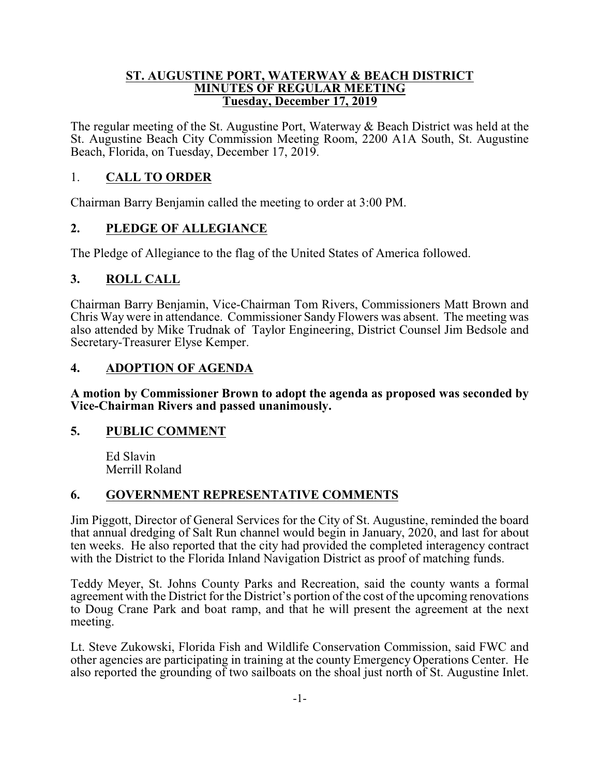#### **ST. AUGUSTINE PORT, WATERWAY & BEACH DISTRICT MINUTES OF REGULAR MEETING Tuesday, December 17, 2019**

The regular meeting of the St. Augustine Port, Waterway & Beach District was held at the St. Augustine Beach City Commission Meeting Room, 2200 A1A South, St. Augustine Beach, Florida, on Tuesday, December 17, 2019.

### 1. **CALL TO ORDER**

Chairman Barry Benjamin called the meeting to order at 3:00 PM.

## **2. PLEDGE OF ALLEGIANCE**

The Pledge of Allegiance to the flag of the United States of America followed.

## **3. ROLL CALL**

Chairman Barry Benjamin, Vice-Chairman Tom Rivers, Commissioners Matt Brown and Chris Way were in attendance. Commissioner Sandy Flowers was absent. The meeting was also attended by Mike Trudnak of Taylor Engineering, District Counsel Jim Bedsole and Secretary-Treasurer Elyse Kemper.

### **4. ADOPTION OF AGENDA**

**A motion by Commissioner Brown to adopt the agenda as proposed was seconded by Vice-Chairman Rivers and passed unanimously.**

### **5. PUBLIC COMMENT**

Ed Slavin Merrill Roland

# **6. GOVERNMENT REPRESENTATIVE COMMENTS**

Jim Piggott, Director of General Services for the City of St. Augustine, reminded the board that annual dredging of Salt Run channel would begin in January, 2020, and last for about ten weeks. He also reported that the city had provided the completed interagency contract with the District to the Florida Inland Navigation District as proof of matching funds.

Teddy Meyer, St. Johns County Parks and Recreation, said the county wants a formal agreement with the District for the District's portion of the cost of the upcoming renovations to Doug Crane Park and boat ramp, and that he will present the agreement at the next meeting.

Lt. Steve Zukowski, Florida Fish and Wildlife Conservation Commission, said FWC and other agencies are participating in training at the county Emergency Operations Center. He also reported the grounding of two sailboats on the shoal just north of St. Augustine Inlet.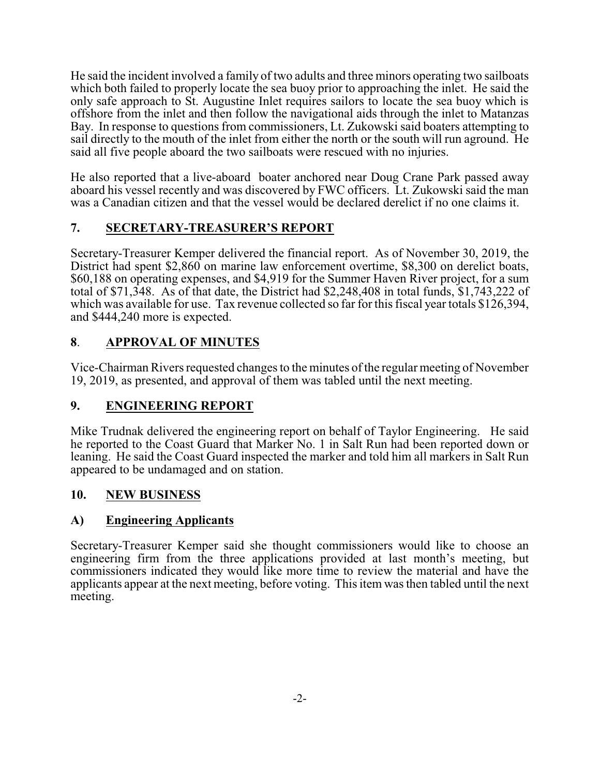He said the incident involved a family of two adults and three minors operating two sailboats which both failed to properly locate the sea buoy prior to approaching the inlet. He said the only safe approach to St. Augustine Inlet requires sailors to locate the sea buoy which is offshore from the inlet and then follow the navigational aids through the inlet to Matanzas Bay. In response to questions from commissioners, Lt. Zukowski said boaters attempting to sail directly to the mouth of the inlet from either the north or the south will run aground. He said all five people aboard the two sailboats were rescued with no injuries.

He also reported that a live-aboard boater anchored near Doug Crane Park passed away aboard his vessel recently and was discovered by FWC officers. Lt. Zukowski said the man was a Canadian citizen and that the vessel would be declared derelict if no one claims it.

# **7. SECRETARY-TREASURER'S REPORT**

Secretary-Treasurer Kemper delivered the financial report. As of November 30, 2019, the District had spent \$2,860 on marine law enforcement overtime, \$8,300 on derelict boats, \$60,188 on operating expenses, and \$4,919 for the Summer Haven River project, for a sum total of \$71,348. As of that date, the District had \$2,248,408 in total funds, \$1,743,222 of which was available for use. Tax revenue collected so far for this fiscal year totals \$126,394, and \$444,240 more is expected.

## **8**. **APPROVAL OF MINUTES**

Vice-Chairman Rivers requested changes to the minutes of the regular meeting of November 19, 2019, as presented, and approval of them was tabled until the next meeting.

# **9. ENGINEERING REPORT**

Mike Trudnak delivered the engineering report on behalf of Taylor Engineering. He said he reported to the Coast Guard that Marker No. 1 in Salt Run had been reported down or leaning. He said the Coast Guard inspected the marker and told him all markers in Salt Run appeared to be undamaged and on station.

### **10. NEW BUSINESS**

### **A) Engineering Applicants**

Secretary-Treasurer Kemper said she thought commissioners would like to choose an engineering firm from the three applications provided at last month's meeting, but commissioners indicated they would like more time to review the material and have the applicants appear at the next meeting, before voting. This item was then tabled until the next meeting.